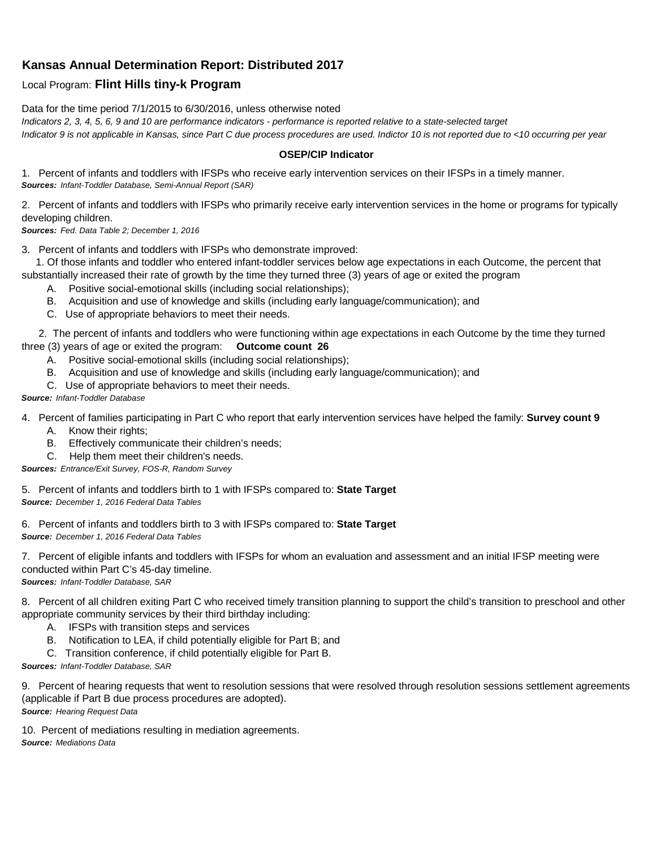## **Kansas Annual Determination Report: Distributed 2017**

## Local Program: **Flint Hills tiny-k Program**

Data for the time period 7/1/2015 to 6/30/2016, unless otherwise noted *Indicators 2, 3, 4, 5, 6, 9 and 10 are performance indicators - performance is reported relative to a state-selected target Indicator 9 is not applicable in Kansas, since Part C due process procedures are used. Indictor 10 is not reported due to <10 occurring per year*

## **OSEP/CIP Indicator**

1. Percent of infants and toddlers with IFSPs who receive early intervention services on their IFSPs in a timely manner. *Sources: Infant-Toddler Database, Semi-Annual Report (SAR)* 

2. Percent of infants and toddlers with IFSPs who primarily receive early intervention services in the home or programs for typically developing children.

*Sources: Fed. Data Table 2; December 1, 2016*

3. Percent of infants and toddlers with IFSPs who demonstrate improved:

 1. Of those infants and toddler who entered infant-toddler services below age expectations in each Outcome, the percent that substantially increased their rate of growth by the time they turned three (3) years of age or exited the program

- A. Positive social-emotional skills (including social relationships);
- B. Acquisition and use of knowledge and skills (including early language/communication); and
- C. Use of appropriate behaviors to meet their needs.

 2. The percent of infants and toddlers who were functioning within age expectations in each Outcome by the time they turned three (3) years of age or exited the program: **Outcome count 26**

- A. Positive social-emotional skills (including social relationships);
- B. Acquisition and use of knowledge and skills (including early language/communication); and
- C. Use of appropriate behaviors to meet their needs.

## *Source: Infant-Toddler Database*

4. Percent of families participating in Part C who report that early intervention services have helped the family: **Survey count 9**

- A. Know their rights;
- B. Effectively communicate their children's needs;
- C. Help them meet their children's needs.

*Sources: Entrance/Exit Survey, FOS-R, Random Survey*

5. Percent of infants and toddlers birth to 1 with IFSPs compared to: **State Target** *Source: December 1, 2016 Federal Data Tables*

6. Percent of infants and toddlers birth to 3 with IFSPs compared to: **State Target** *Source: December 1, 2016 Federal Data Tables*

7. Percent of eligible infants and toddlers with IFSPs for whom an evaluation and assessment and an initial IFSP meeting were conducted within Part C's 45-day timeline.

*Sources: Infant-Toddler Database, SAR*

8. Percent of all children exiting Part C who received timely transition planning to support the child's transition to preschool and other appropriate community services by their third birthday including:

- A. IFSPs with transition steps and services
- B. Notification to LEA, if child potentially eligible for Part B; and
- C. Transition conference, if child potentially eligible for Part B.

*Sources: Infant-Toddler Database, SAR*

9. Percent of hearing requests that went to resolution sessions that were resolved through resolution sessions settlement agreements (applicable if Part B due process procedures are adopted). *Source: Hearing Request Data*

10. Percent of mediations resulting in mediation agreements. *Source: Mediations Data*